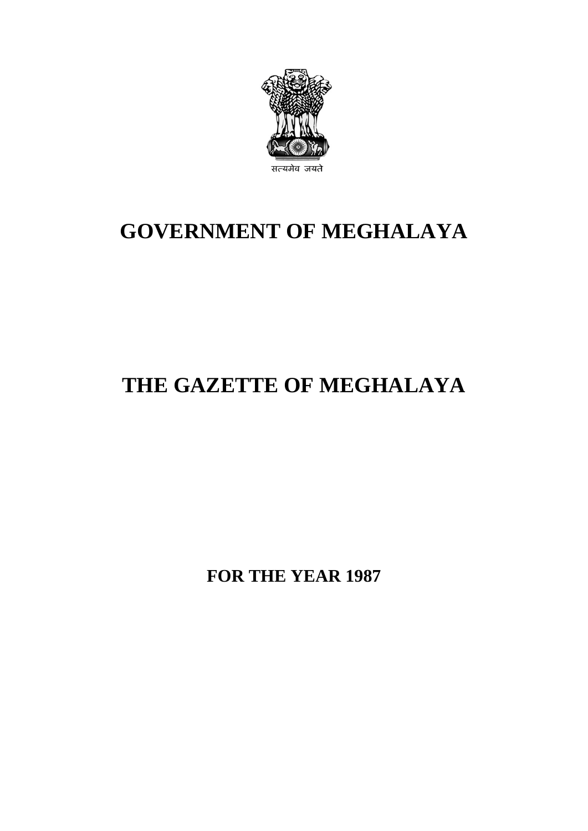

## **GOVERNMENT OF MEGHALAYA**

# **THE GAZETTE OF MEGHALAYA**

**FOR THE YEAR 1987**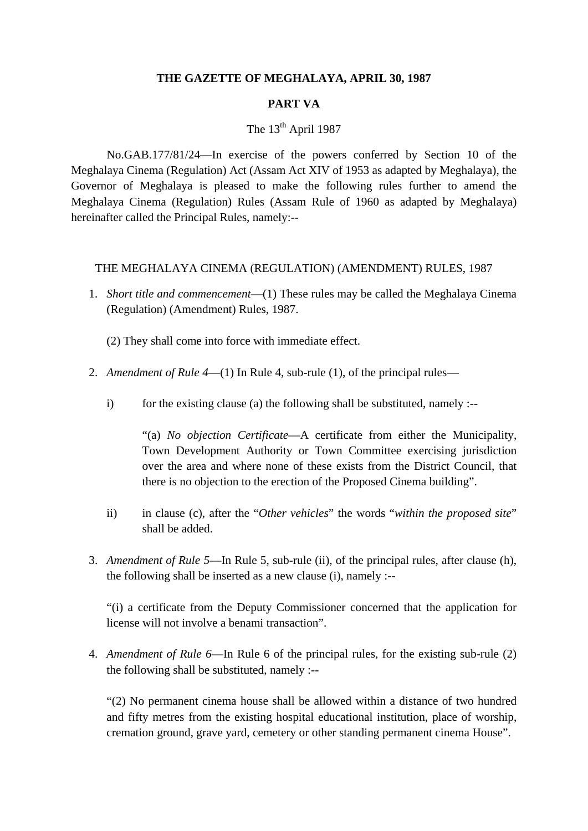#### **THE GAZETTE OF MEGHALAYA, APRIL 30, 1987**

#### **PART VA**

### The  $13<sup>th</sup>$  April 1987

No.GAB.177/81/24—In exercise of the powers conferred by Section 10 of the Meghalaya Cinema (Regulation) Act (Assam Act XIV of 1953 as adapted by Meghalaya), the Governor of Meghalaya is pleased to make the following rules further to amend the Meghalaya Cinema (Regulation) Rules (Assam Rule of 1960 as adapted by Meghalaya) hereinafter called the Principal Rules, namely:--

#### THE MEGHALAYA CINEMA (REGULATION) (AMENDMENT) RULES, 1987

- 1. *Short title and commencement*—(1) These rules may be called the Meghalaya Cinema (Regulation) (Amendment) Rules, 1987.
	- (2) They shall come into force with immediate effect.
- 2. *Amendment of Rule 4*—(1) In Rule 4, sub-rule (1), of the principal rules
	- i) for the existing clause (a) the following shall be substituted, namely :--

"(a) *No objection Certificate*—A certificate from either the Municipality, Town Development Authority or Town Committee exercising jurisdiction over the area and where none of these exists from the District Council, that there is no objection to the erection of the Proposed Cinema building".

- ii) in clause (c), after the "*Other vehicles*" the words "*within the proposed site*" shall be added.
- 3. *Amendment of Rule 5*—In Rule 5, sub-rule (ii), of the principal rules, after clause (h), the following shall be inserted as a new clause (i), namely :--

"(i) a certificate from the Deputy Commissioner concerned that the application for license will not involve a benami transaction".

4. *Amendment of Rule 6*—In Rule 6 of the principal rules, for the existing sub-rule (2) the following shall be substituted, namely :--

"(2) No permanent cinema house shall be allowed within a distance of two hundred and fifty metres from the existing hospital educational institution, place of worship, cremation ground, grave yard, cemetery or other standing permanent cinema House".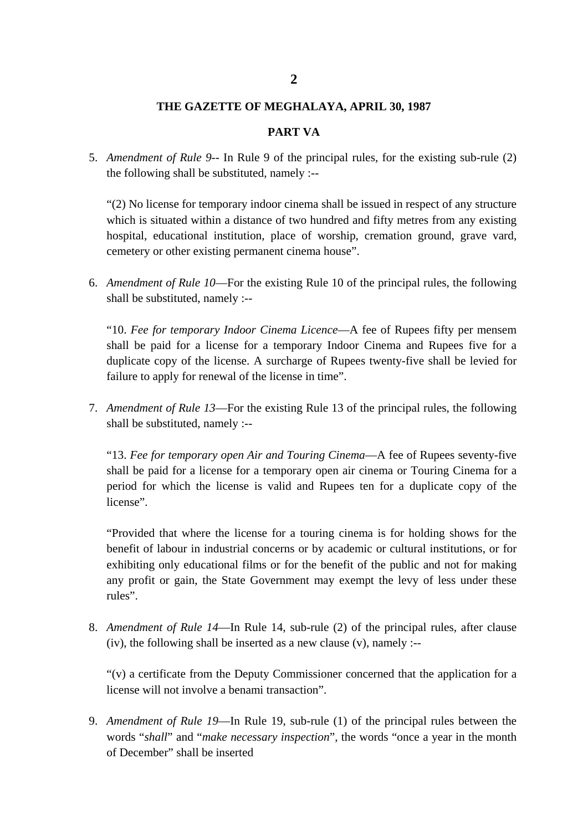#### **2**

#### **THE GAZETTE OF MEGHALAYA, APRIL 30, 1987**

#### **PART VA**

5. *Amendment of Rule 9*-- In Rule 9 of the principal rules, for the existing sub-rule (2) the following shall be substituted, namely :--

"(2) No license for temporary indoor cinema shall be issued in respect of any structure which is situated within a distance of two hundred and fifty metres from any existing hospital, educational institution, place of worship, cremation ground, grave vard, cemetery or other existing permanent cinema house".

6. *Amendment of Rule 10*—For the existing Rule 10 of the principal rules, the following shall be substituted, namely :--

"10. *Fee for temporary Indoor Cinema Licence*—A fee of Rupees fifty per mensem shall be paid for a license for a temporary Indoor Cinema and Rupees five for a duplicate copy of the license. A surcharge of Rupees twenty-five shall be levied for failure to apply for renewal of the license in time".

7. *Amendment of Rule 13*—For the existing Rule 13 of the principal rules, the following shall be substituted, namely :--

"13. *Fee for temporary open Air and Touring Cinema*—A fee of Rupees seventy-five shall be paid for a license for a temporary open air cinema or Touring Cinema for a period for which the license is valid and Rupees ten for a duplicate copy of the license".

"Provided that where the license for a touring cinema is for holding shows for the benefit of labour in industrial concerns or by academic or cultural institutions, or for exhibiting only educational films or for the benefit of the public and not for making any profit or gain, the State Government may exempt the levy of less under these rules".

8. *Amendment of Rule 14*—In Rule 14, sub-rule (2) of the principal rules, after clause (iv), the following shall be inserted as a new clause  $(v)$ , namely :--

"(v) a certificate from the Deputy Commissioner concerned that the application for a license will not involve a benami transaction".

9. *Amendment of Rule 19*—In Rule 19, sub-rule (1) of the principal rules between the words "*shall*" and "*make necessary inspection*", the words "once a year in the month of December" shall be inserted